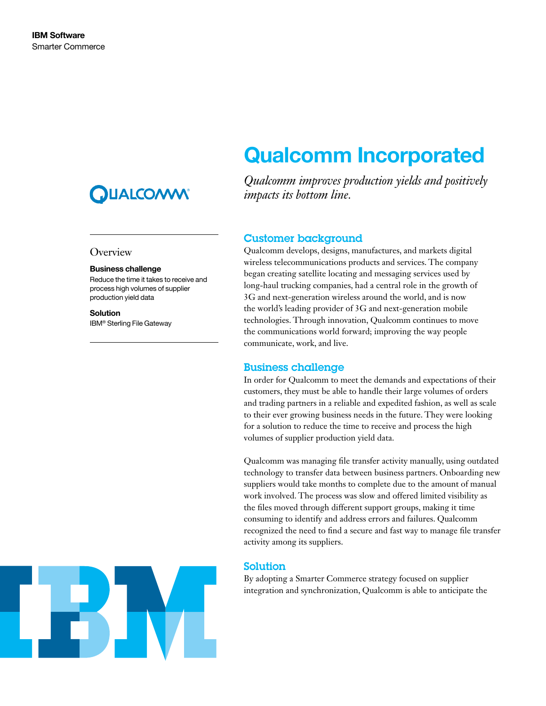## **QUALCON**

## **Overview**

#### Business challenge

Reduce the time it takes to receive and process high volumes of supplier production yield data

Solution IBM® Sterling File Gateway

# Qualcomm Incorporated

*Qualcomm improves production yields and positively impacts its bottom line.*

## Customer background

Qualcomm develops, designs, manufactures, and markets digital wireless telecommunications products and services. The company began creating satellite locating and messaging services used by long-haul trucking companies, had a central role in the growth of 3G and next-generation wireless around the world, and is now the world's leading provider of 3G and next-generation mobile technologies. Through innovation, Qualcomm continues to move the communications world forward; improving the way people communicate, work, and live.

## Business challenge

In order for Qualcomm to meet the demands and expectations of their customers, they must be able to handle their large volumes of orders and trading partners in a reliable and expedited fashion, as well as scale to their ever growing business needs in the future. They were looking for a solution to reduce the time to receive and process the high volumes of supplier production yield data.

Qualcomm was managing file transfer activity manually, using outdated technology to transfer data between business partners. Onboarding new suppliers would take months to complete due to the amount of manual work involved. The process was slow and offered limited visibility as the files moved through different support groups, making it time consuming to identify and address errors and failures. Qualcomm recognized the need to find a secure and fast way to manage file transfer activity among its suppliers.

## Solution

By adopting a Smarter Commerce strategy focused on supplier integration and synchronization, Qualcomm is able to anticipate the

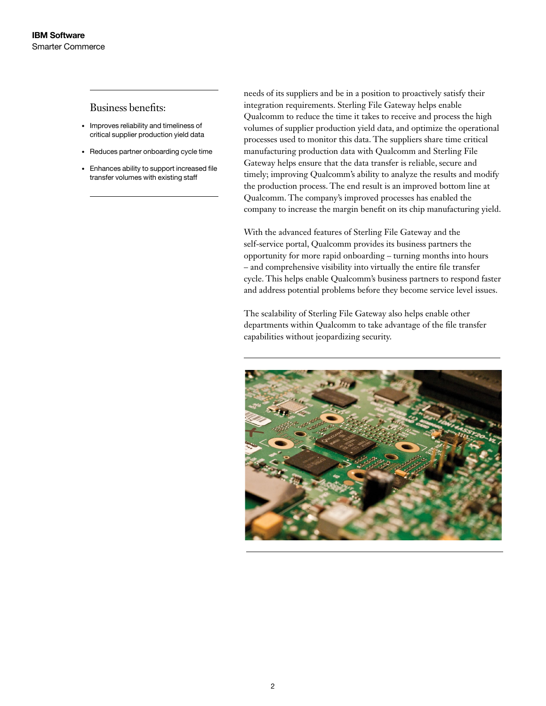## Business benefits:

- • Improves reliability and timeliness of critical supplier production yield data
- • Reduces partner onboarding cycle time
- • Enhances ability to support increased file transfer volumes with existing staff

needs of its suppliers and be in a position to proactively satisfy their integration requirements. Sterling File Gateway helps enable Qualcomm to reduce the time it takes to receive and process the high volumes of supplier production yield data, and optimize the operational processes used to monitor this data. The suppliers share time critical manufacturing production data with Qualcomm and Sterling File Gateway helps ensure that the data transfer is reliable, secure and timely; improving Qualcomm's ability to analyze the results and modify the production process. The end result is an improved bottom line at Qualcomm. The company's improved processes has enabled the company to increase the margin benefit on its chip manufacturing yield.

With the advanced features of Sterling File Gateway and the self-service portal, Qualcomm provides its business partners the opportunity for more rapid onboarding – turning months into hours – and comprehensive visibility into virtually the entire file transfer cycle. This helps enable Qualcomm's business partners to respond faster and address potential problems before they become service level issues.

The scalability of Sterling File Gateway also helps enable other departments within Qualcomm to take advantage of the file transfer capabilities without jeopardizing security.

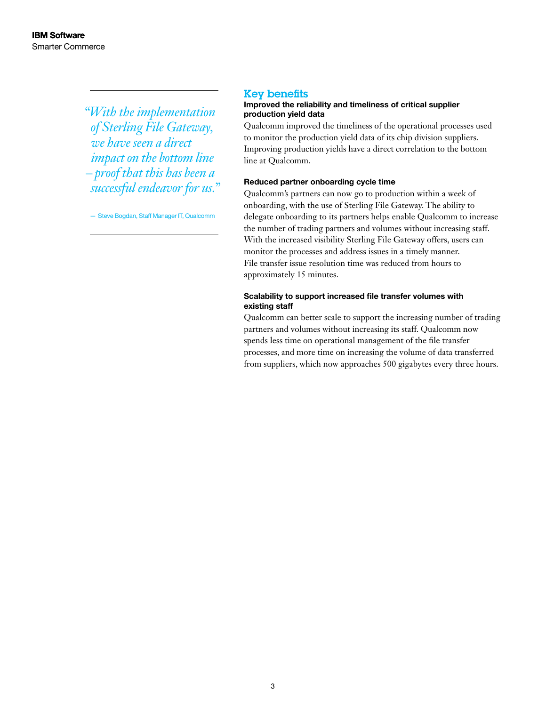*"With the implementation of Sterling File Gateway, we have seen a direct impact on the bottom line – proof that this has been a successful endeavor for us."* 

— Steve Bogdan, Staff Manager IT, Qualcomm

### Key benefits

### Improved the reliability and timeliness of critical supplier production yield data

Qualcomm improved the timeliness of the operational processes used to monitor the production yield data of its chip division suppliers. Improving production yields have a direct correlation to the bottom line at Qualcomm.

## Reduced partner onboarding cycle time

Qualcomm's partners can now go to production within a week of onboarding, with the use of Sterling File Gateway. The ability to delegate onboarding to its partners helps enable Qualcomm to increase the number of trading partners and volumes without increasing staff. With the increased visibility Sterling File Gateway offers, users can monitor the processes and address issues in a timely manner. File transfer issue resolution time was reduced from hours to approximately 15 minutes.

## Scalability to support increased file transfer volumes with existing staff

Qualcomm can better scale to support the increasing number of trading partners and volumes without increasing its staff. Qualcomm now spends less time on operational management of the file transfer processes, and more time on increasing the volume of data transferred from suppliers, which now approaches 500 gigabytes every three hours.